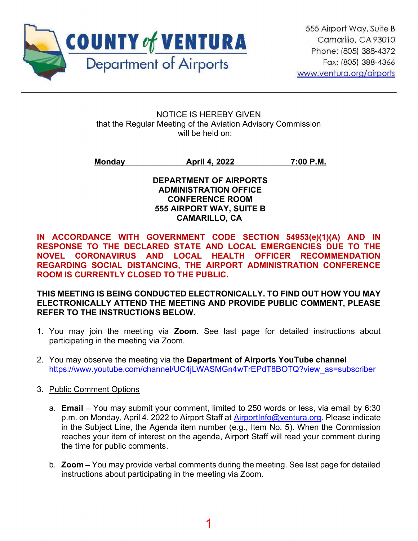

NOTICE IS HEREBY GIVEN that the Regular Meeting of the Aviation Advisory Commission will be held on:

Monday **April 4, 2022** 7:00 P.M.

DEPARTMENT OF AIRPORTS ADMINISTRATION OFFICE CONFERENCE ROOM 555 AIRPORT WAY, SUITE B CAMARILLO, CA

IN ACCORDANCE WITH GOVERNMENT CODE SECTION 54953(e)(1)(A) AND IN RESPONSE TO THE DECLARED STATE AND LOCAL EMERGENCIES DUE TO THE NOVEL CORONAVIRUS AND LOCAL HEALTH OFFICER RECOMMENDATION REGARDING SOCIAL DISTANCING, THE AIRPORT ADMINISTRATION CONFERENCE ROOM IS CURRENTLY CLOSED TO THE PUBLIC.

THIS MEETING IS BEING CONDUCTED ELECTRONICALLY. TO FIND OUT HOW YOU MAY ELECTRONICALLY ATTEND THE MEETING AND PROVIDE PUBLIC COMMENT, PLEASE REFER TO THE INSTRUCTIONS BELOW.

- 1. You may join the meeting via Zoom. See last page for detailed instructions about participating in the meeting via Zoom.
- 2. You may observe the meeting via the Department of Airports YouTube channel https://www.youtube.com/channel/UC4iLWASMGn4wTrEPdT8BOTQ?view\_as=subscriber
- 3. Public Comment Options
	- a. **Email** You may submit your comment, limited to 250 words or less, via email by 6:30 p.m. on Monday, April 4, 2022 to Airport Staff at AirportInfo@ventura.org. Please indicate in the Subject Line, the Agenda item number (e.g., Item No. 5). When the Commission reaches your item of interest on the agenda, Airport Staff will read your comment during the time for public comments.
	- b. **Zoom**  $-$  You may provide verbal comments during the meeting. See last page for detailed instructions about participating in the meeting via Zoom.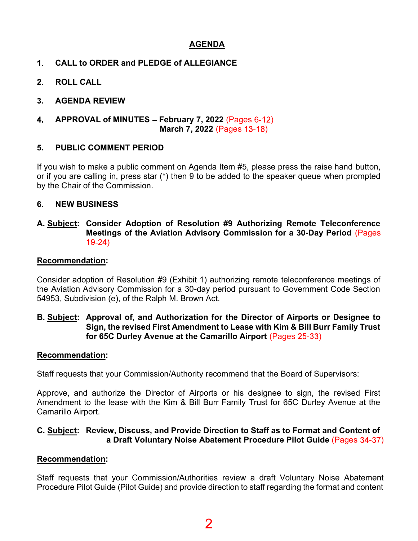## AGENDA

- CALL to ORDER and PLEDGE of ALLEGIANCE  $1<sub>1</sub>$
- $2.$ ROLL CALL
- $3<sub>-</sub>$ AGENDA REVIEW
- 4. APPROVAL of MINUTES - February 7, 2022 (Pages  $6-12$ ) March 7, 2022 (Pages 13-18)

#### 5. PUBLIC COMMENT PERIOD

If you wish to make a public comment on Agenda Item #5, please press the raise hand button, or if you are calling in, press star (\*) then 9 to be added to the speaker queue when prompted by the Chair of the Commission.

#### 6. NEW BUSINESS

#### A. Subject: Consider Adoption of Resolution #9 Authorizing Remote Teleconference Meetings of the Aviation Advisory Commission for a 30-Day Period (Pages  $19-24)$

#### Recommendation:

Consider adoption of Resolution #9 (Exhibit 1) authorizing remote teleconference meetings of the Aviation Advisory Commission for a 30-day period pursuant to Government Code Section 54953, Subdivision (e), of the Ralph M. Brown Act.

#### B. Subject: Approval of, and Authorization for the Director of Airports or Designee to Sign, the revised First Amendment to Lease with Kim & Bill Burr Family Trust for 65C Durley Avenue at the Camarillo Airport (Pages 25-33)

#### Recommendation:

Staff requests that your Commission/Authority recommend that the Board of Supervisors:

Approve, and authorize the Director of Airports or his designee to sign, the revised First Amendment to the lease with the Kim & Bill Burr Family Trust for 65C Durley Avenue at the Camarillo Airport.

#### C. Subject: Review, Discuss, and Provide Direction to Staff as to Format and Content of a Draft Voluntary Noise Abatement Procedure Pilot Guide (Pages 34-37)

#### Recommendation:

Staff requests that your Commission/Authorities review a draft Voluntary Noise Abatement Procedure Pilot Guide (Pilot Guide) and provide direction to staff regarding the format and content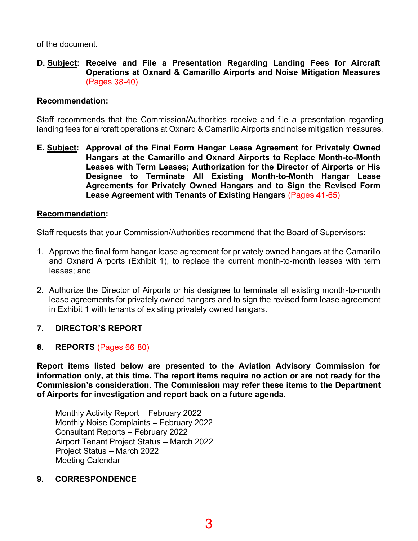of the document.

#### D. Subject: Receive and File a Presentation Regarding Landing Fees for Aircraft Operations at Oxnard & Camarillo Airports and Noise Mitigation Measures (Pages 38-40)

#### Recommendation:

Staff recommends that the Commission/Authorities receive and file a presentation regarding landing fees for aircraft operations at Oxnard & Camarillo Airports and noise mitigation measures.

E. Subject: Approval of the Final Form Hangar Lease Agreement for Privately Owned Hangars at the Camarillo and Oxnard Airports to Replace Month-to-Month Leases with Term Leases; Authorization for the Director of Airports or His Designee to Terminate All Existing Month-to-Month Hangar Lease Agreements for Privately Owned Hangars and to Sign the Revised Form Lease Agreement with Tenants of Existing Hangars (Pages 41-65)

#### Recommendation:

Staff requests that your Commission/Authorities recommend that the Board of Supervisors:

- 1. Approve the final form hangar lease agreement for privately owned hangars at the Camarillo and Oxnard Airports (Exhibit 1), to replace the current month-to-month leases with term leases; and
- 2. Authorize the Director of Airports or his designee to terminate all existing month-to-month lease agreements for privately owned hangars and to sign the revised form lease agreement in Exhibit 1 with tenants of existing privately owned hangars.

#### $7<sup>1</sup>$ **DIRECTOR'S REPORT**

#### REPORTS (Pages 66-80) 8.

Report items listed below are presented to the Aviation Advisory Commission for information only, at this time. The report items require no action or are not ready for the Commission's consideration. The Commission may refer these items to the Department of Airports for investigation and report back on a future agenda.

Monthly Activity Report - February 2022 Monthly Noise Complaints - February 2022 Consultant Reports - February 2022 Airport Tenant Project Status - March 2022 Project Status - March 2022 Meeting Calendar

#### 9. CORRESPONDENCE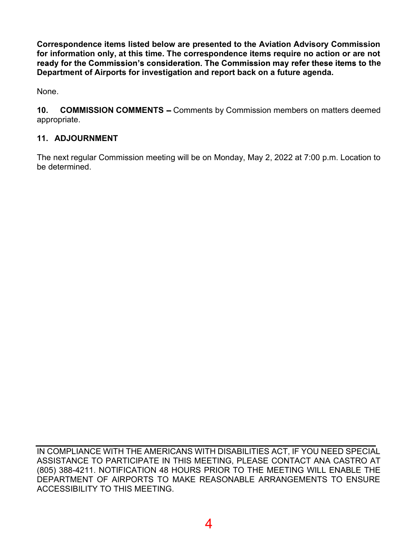Correspondence items listed below are presented to the Aviation Advisory Commission for information only, at this time. The correspondence items require no action or are not ready for the Commission's consideration. The Commission may refer these items to the Department of Airports for investigation and report back on a future agenda.

None.

10. COMMISSION COMMENTS - Comments by Commission members on matters deemed appropriate.

## 11. ADJOURNMENT

The next regular Commission meeting will be on Monday, May 2, 2022 at 7:00 p.m. Location to be determined.

IN COMPLIANCE WITH THE AMERICANS WITH DISABILITIES ACT, IF YOU NEED SPECIAL ASSISTANCE TO PARTICIPATE IN THIS MEETING, PLEASE CONTACT ANA CASTRO AT (805) 388-4211. NOTIFICATION 48 HOURS PRIOR TO THE MEETING WILL ENABLE THE DEPARTMENT OF AIRPORTS TO MAKE REASONABLE ARRANGEMENTS TO ENSURE ACCESSIBILITY TO THIS MEETING.